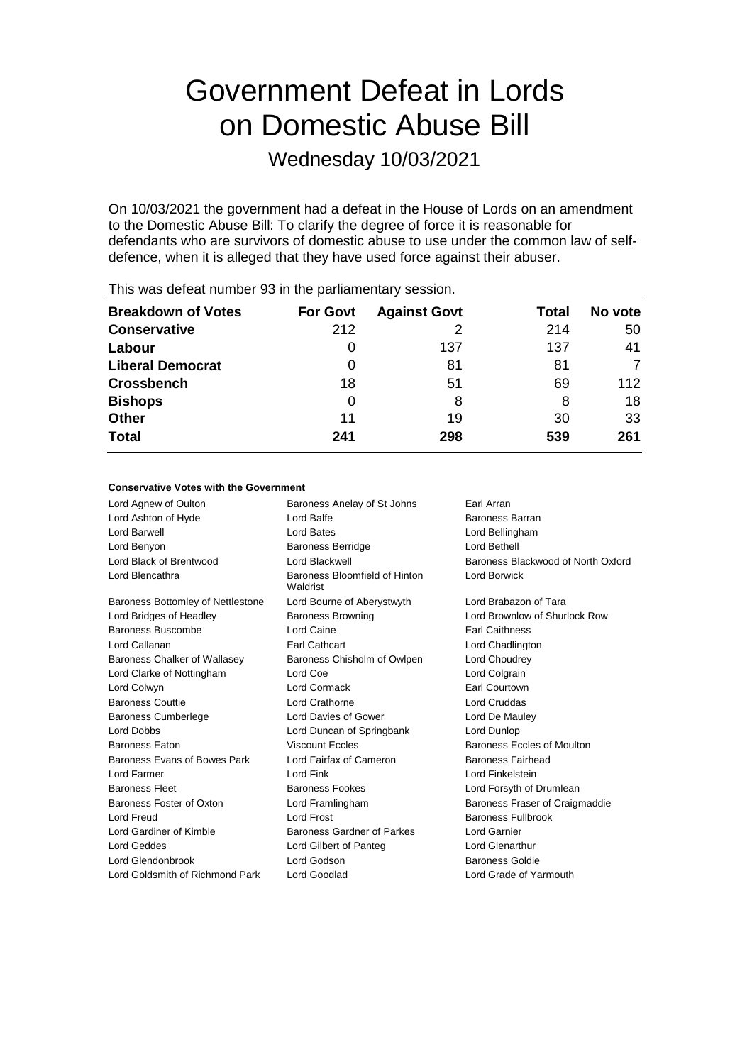# Government Defeat in Lords on Domestic Abuse Bill

Wednesday 10/03/2021

On 10/03/2021 the government had a defeat in the House of Lords on an amendment to the Domestic Abuse Bill: To clarify the degree of force it is reasonable for defendants who are survivors of domestic abuse to use under the common law of selfdefence, when it is alleged that they have used force against their abuser.

| <b>Breakdown of Votes</b> | <b>For Govt</b> | <b>Against Govt</b> | Total | No vote |
|---------------------------|-----------------|---------------------|-------|---------|
| <b>Conservative</b>       | 212             |                     | 214   | 50      |
| Labour                    | 0               | 137                 | 137   | 41      |
| <b>Liberal Democrat</b>   | 0               | 81                  | 81    |         |
| <b>Crossbench</b>         | 18              | 51                  | 69    | 112     |
| <b>Bishops</b>            | 0               | 8                   | 8     | 18      |
| <b>Other</b>              | 11              | 19                  | 30    | 33      |
| <b>Total</b>              | 241             | 298                 | 539   | 261     |

This was defeat number 93 in the parliamentary session.

## **Conservative Votes with the Government**

Lord Agnew of Oulton **Baroness Anelay of St Johns** Earl Arran Lord Ashton of Hyde **Lord Balfe** Lord Balfe **Baroness Barran** Lord Barwell Lord Bates Lord Bellingham Lord Benyon Baroness Berridge Lord Bethell Lord Black of Brentwood Lord Blackwell Baroness Blackwood of North Oxford Lord Blencathra **Baroness Bloomfield of Hinton** Waldrist Lord Borwick Baroness Bottomley of Nettlestone Lord Bourne of Aberystwyth Lord Brabazon of Tara Lord Bridges of Headley Baroness Browning Lord Brownlow of Shurlock Row Baroness Buscombe **Lord Caine Lord Caine Earl Caithness** Lord Callanan Earl Cathcart Lord Chadlington Baroness Chalker of Wallasey Baroness Chisholm of Owlpen Lord Choudrey Lord Clarke of Nottingham Lord Coe Lord Colgrain Lord Colwyn Lord Cormack Earl Courtown Baroness Couttie Lord Crathorne Lord Cruddas Baroness Cumberlege Lord Davies of Gower Lord De Mauley Lord Dobbs Lord Duncan of Springbank Lord Dunlop Baroness Eaton **Baroness Eccles Baroness Eccles of Moulton** Viscount Eccles **Baroness Eccles of Moulton** Baroness Evans of Bowes Park Lord Fairfax of Cameron Baroness Fairhead Lord Farmer Lord Fink Lord Finkelstein Baroness Fleet **Baroness Fookes** Lord Forsyth of Drumlean Baroness Foster of Oxton Lord Framlingham Baroness Fraser of Craigmaddie Lord Freud Lord Frost Baroness Fullbrook Lord Gardiner of Kimble **Baroness Gardner of Parkes** Lord Garnier Lord Geddes Lord Gilbert of Panteg Lord Glenarthur Lord Glendonbrook Lord Godson Baroness Goldie Lord Goldsmith of Richmond Park Lord Goodlad Lord Grade of Yarmouth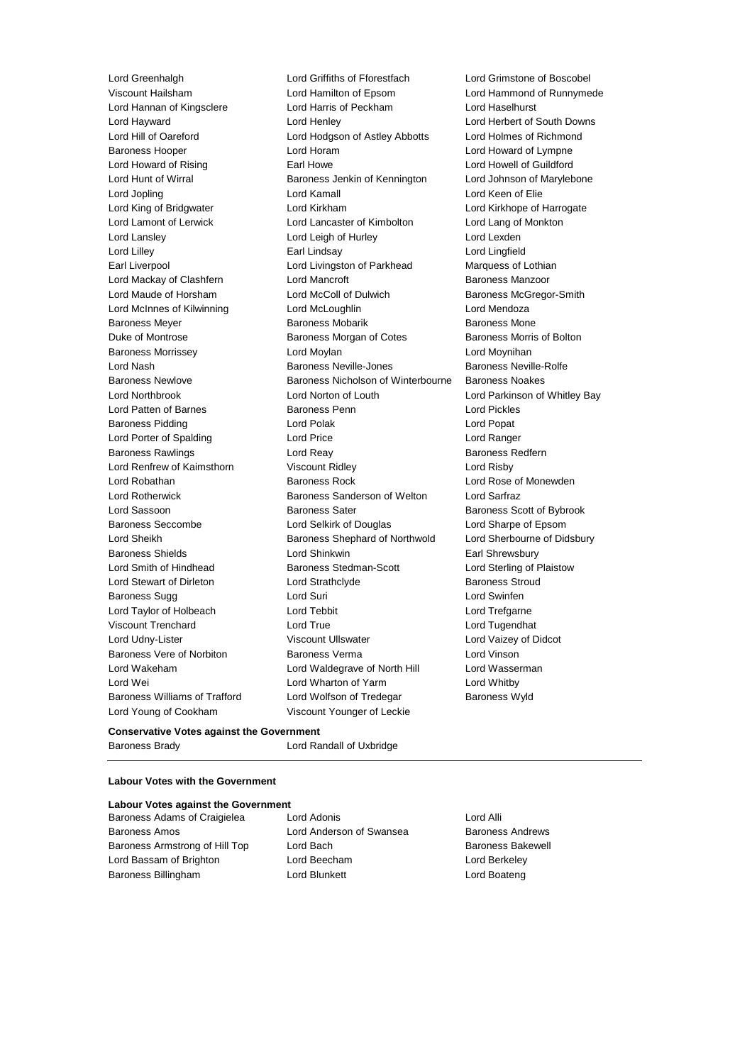Lord Greenhalgh Lord Griffiths of Fforestfach Lord Grimstone of Boscobel Lord Young of Cookham Viscount Younger of Leckie

Viscount Hailsham Lord Hamilton of Epsom Lord Hammond of Runnymede Lord Hannan of Kingsclere Lord Harris of Peckham Lord Haselhurst Lord Hayward Lord Henley Lord Herbert of South Downs Lord Hill of Oareford Lord Hodgson of Astley Abbotts Lord Holmes of Richmond Baroness Hooper Lord Horam Lord Howard of Lympne Lord Howard of Rising **Earl Howe Lord Howell of Guildford** Earl Howe **Lord Howell of Guildford** Lord Hunt of Wirral **Baroness Jenkin of Kennington** Lord Johnson of Marylebone Lord Jopling **Lord Kamall** Lord Kamall **Lord Keen of Elie** Lord King of Bridgwater Lord Kirkham Lord Kirkhope of Harrogate Lord Lamont of Lerwick Lord Lancaster of Kimbolton Lord Lang of Monkton Lord Lansley **Lord Leigh of Hurley** Lord Lexden Lord Lilley Earl Lindsay Lord Lingfield Earl Liverpool Lord Livingston of Parkhead Marquess of Lothian Lord Mackay of Clashfern **Lord Mancroft Baroness Manzoor** Baroness Manzoor Lord Maude of Horsham Lord McColl of Dulwich Baroness McGregor-Smith Lord McInnes of Kilwinning Lord McLoughlin Lord Mendoza Baroness Meyer **Baroness Mobarik** Baroness Mobarik Baroness Mone Duke of Montrose Baroness Morgan of Cotes Baroness Morris of Bolton Baroness Morrissey Lord Moylan Lord Moynihan Lord Nash Baroness Neville-Jones Baroness Neville-Rolfe Baroness Newlove Baroness Nicholson of Winterbourne Baroness Noakes Lord Northbrook Lord Norton of Louth Lord Parkinson of Whitley Bay Lord Patten of Barnes **Baroness Penn** Lord Pickles Baroness Pidding **Communist Construction** Lord Polak **Lord Popat** Lord Popat Lord Porter of Spalding Lord Price Lord Ranger Baroness Rawlings **Rawlings Lord Reay 1996 Baroness Redfern** Lord Renfrew of Kaimsthorn Viscount Ridley Lord Risby Lord Robathan **Baroness Rock** Lord Rose of Monewden Lord Rotherwick Baroness Sanderson of Welton Lord Sarfraz Lord Sassoon **Baroness Sater** Baroness Scott of Bybrook Baroness Seccombe Lord Selkirk of Douglas Lord Sharpe of Epsom Lord Sheikh **Baroness Shephard of Northwold** Lord Sherbourne of Didsbury Baroness Shields **Lord Shinkwin** Earl Shrewsbury Lord Smith of Hindhead Baroness Stedman-Scott Lord Sterling of Plaistow Lord Stewart of Dirleton Lord Strathclyde Baroness Stroud Baroness Sugg Lord Suri Lord Swinfen Lord Taylor of Holbeach Lord Tebbit Lord Trefgarne Viscount Trenchard Lord True Lord Tugendhat Lord Udny-Lister Viscount Ullswater Lord Vaizey of Didcot Baroness Vere of Norbiton Baroness Verma Lord Vinson Lord Wakeham Lord Waldegrave of North Hill Lord Wasserman Lord Wei Lord Wharton of Yarm Lord Whitby Baroness Williams of Trafford Lord Wolfson of Tredegar Baroness Wyld

# **Conservative Votes against the Government**

Baroness Brady Lord Randall of Uxbridge

# **Labour Votes with the Government**

#### **Labour Votes against the Government**

| Baroness Adams of Craigielea   |  |  |  |
|--------------------------------|--|--|--|
| <b>Baroness Amos</b>           |  |  |  |
| Baroness Armstrong of Hill Top |  |  |  |
| Lord Bassam of Brighton        |  |  |  |
| Baroness Billingham            |  |  |  |

Baroness Adams of Craigielea Lord Adonis Lord Alli Lord Anderson of Swansea Baroness Andrews Lord Bach Baroness Bakewell Lord Beecham **Constanting Lord Berkeley** Lord Blunkett **Lord Boateng**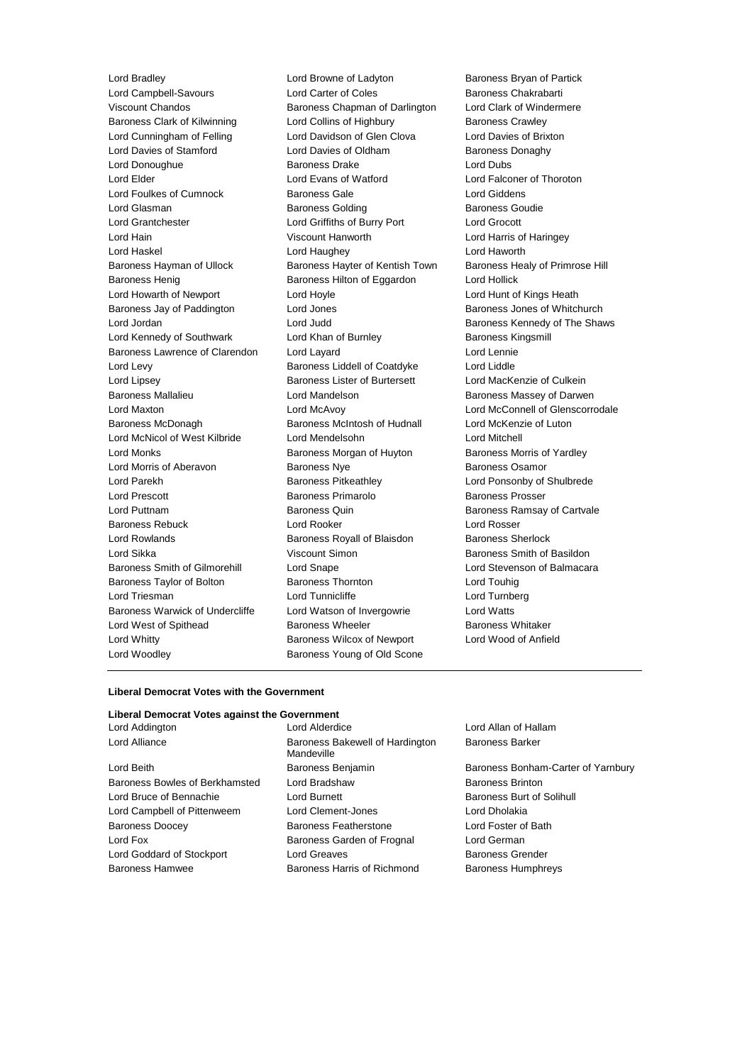Lord Campbell-Savours **Lord Carter of Coles** Baroness Chakrabarti Viscount Chandos Baroness Chapman of Darlington Lord Clark of Windermere Baroness Clark of Kilwinning Lord Collins of Highbury Baroness Crawley Lord Cunningham of Felling Lord Davidson of Glen Clova Lord Davies of Brixton Lord Davies of Stamford **Lord Davies of Oldham** Baroness Donaghy Lord Donoughue Baroness Drake Lord Dubs Lord Elder Lord Evans of Watford Lord Falconer of Thoroton Lord Foulkes of Cumnock Baroness Gale Lord Giddens Lord Glasman **Baroness Golding** Baroness Goudie Lord Grantchester Lord Griffiths of Burry Port Lord Grocott Lord Hain Viscount Hanworth Lord Harris of Haringey Lord Haskel Lord Haughey Lord Haworth Baroness Hayman of Ullock Baroness Hayter of Kentish Town Baroness Healy of Primrose Hill Baroness Henig Baroness Hilton of Eggardon Lord Hollick Lord Howarth of Newport Lord Hoyle Lord House Lord Hunt of Kings Heath Baroness Jay of Paddington **Lord Jones Baroness Jones of Whitchurch** Baroness Jones of Whitchurch Lord Jordan **Lord Judd** Baroness Kennedy of The Shaws Lord Kennedy of Southwark Lord Khan of Burnley Baroness Kingsmill Baroness Lawrence of Clarendon Lord Layard Lord Lennie Lord Levy Baroness Liddell of Coatdyke Lord Liddle Lord Lipsey Baroness Lister of Burtersett Lord MacKenzie of Culkein Baroness Mallalieu **Baroness Mallalieu** Lord Mandelson **Baroness Massey of Darwen** Lord Maxton Lord McAvoy Lord McConnell of Glenscorrodale Baroness McDonagh Baroness McIntosh of Hudnall Lord McKenzie of Luton Lord McNicol of West Kilbride Lord Mendelsohn Lord Mitchell Lord Monks **Baroness Morgan of Huyton** Baroness Morris of Yardley Lord Morris of Aberavon **Baroness Nye Baroness Osamor** Baroness Osamor Lord Parekh Baroness Pitkeathley Lord Ponsonby of Shulbrede Lord Prescott **Baroness Primarolo** Baroness Prosser Lord Puttnam Baroness Quin Baroness Ramsay of Cartvale Baroness Rebuck Lord Rooker Lord Rosser Lord Rowlands **Baroness Royall of Blaisdon** Baroness Sherlock Lord Sikka **Viscount Simon Baroness Smith of Basildon Lord Sikka** Baroness Smith of Gilmorehill Lord Snape Lord Stevenson of Balmacara Baroness Taylor of Bolton Baroness Thornton Lord Touhig Lord Triesman Lord Tunnicliffe Lord Turnberg Baroness Warwick of Undercliffe Lord Watson of Invergowrie Lord Watts Lord West of Spithead **Baroness Wheeler** Baroness Whitaker Lord Whitty Baroness Wilcox of Newport Lord Wood of Anfield Lord Woodley **Baroness Young of Old Scone** 

Lord Bradley Lord Browne of Ladyton Baroness Bryan of Partick

#### **Liberal Democrat Votes with the Government**

# **Liberal Democrat Votes against the Government**

Lord Alliance **Baroness Bakewell of Hardington** Lord Beith **Baroness Benjamin** Baroness Benjamin Baroness Bonham-Carter of Yarnbury Baroness Bowles of Berkhamsted Lord Bradshaw Baroness Brinton Lord Bruce of Bennachie Lord Burnett Baroness Burt of Solihull Lord Campbell of Pittenweem Lord Clement-Jones Lord Dholakia Baroness Doocey Baroness Featherstone Lord Foster of Bath Lord Fox **Baroness Garden of Frognal** Lord German Lord German Lord Goddard of Stockport Lord Greaves **Baroness Grender** Baroness Grender Baroness Hamwee Baroness Harris of Richmond Baroness Humphreys

Lord Addington Lord Alderdice Lord Allan of Hallam Mandeville

Baroness Barker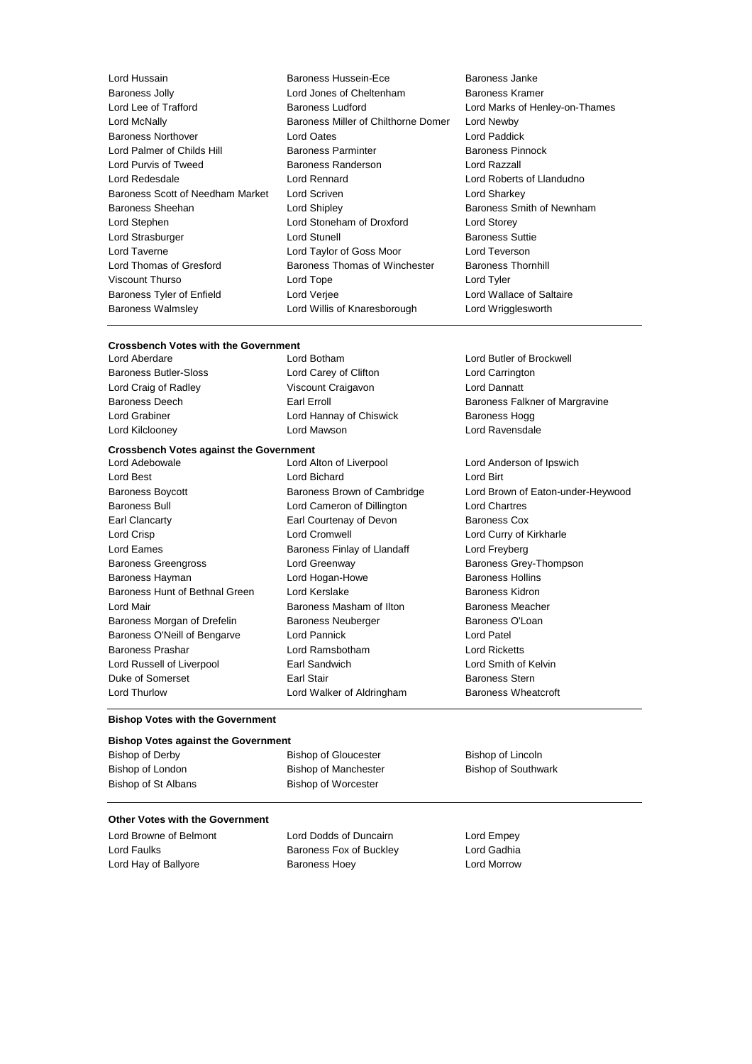Baroness Scott of Needham Market Lord Scriven Baroness Walmsley Lord Willis of Knaresborough Lord Wrigglesworth

Lord Hussain **Baroness Hussein-Ece** Baroness Janke Baroness Jolly **Cheltenham** Baroness Kramer<br>
Lord Lee of Trafford **Baroness Ludford** Baroness Ludford **Baroness** Ludford Baroness Ludford Lord Lee of Trafford Baroness Ludford Lord Marks of Henley-on-Thames Lord McNally Baroness Miller of Chilthorne Domer Lord Newby Baroness Northover Lord Oates Lord Paddick Lord Palmer of Childs Hill Baroness Parminter Baroness Parminter Baroness Pinnock Lord Purvis of Tweed Baroness Randerson Lord Razzall Lord Redesdale Lord Rennard Lord Roberts of Llandudno Baroness Sheehan **Baroness** Sheehan Lord Shipley **Baroness Smith of Newnham** Lord Stephen Lord Stoneham of Droxford Lord Storey Lord Strasburger **Lord Stunell** Baroness Suttie Lord Taverne Lord Taylor of Goss Moor Lord Teverson Lord Thomas of Gresford Baroness Thomas of Winchester Baroness Thornhill Viscount Thurso Lord Tope Lord Tyler Baroness Tyler of Enfield Lord Verjee Lord Wallace of Saltaire

# **Crossbench Votes with the Government Crossbench Votes against the Government** Lord Aberdare Lord Botham Lord Butler of Brockwell Baroness Butler-Sloss Lord Carey of Clifton Lord Carrington Lord Craig of Radley Viscount Craigavon Lord Dannatt Baroness Deech **Earl Example 20** Earl Erroll **Example 20 Earl Baroness Falkner of Margravine** Lord Grabiner **Lord Hannay of Chiswick** Baroness Hogg Lord Kilclooney Lord Mawson Lord Ravensdale Lord Alton of Liverpool Lord Anderson of Ipswich Lord Best **Lord Bichard** Lord Bichard **Lord Birt** Baroness Boycott **Baroness Brown of Cambridge** Lord Brown of Eaton-under-Heywood Baroness Bull Lord Cameron of Dillington Lord Chartres Earl Clancarty Earl Courtenay of Devon Baroness Cox Lord Crisp Lord Cromwell Lord Curry of Kirkharle Lord Eames **Eames** Baroness Finlay of Llandaff **Lord Freyberg** Lord Freyberg Baroness Greengross **Example 2** Lord Greenway **Baroness Grey-Thompson** Baroness Hayman **Example 2** Lord Hogan-Howe **Baroness Hollins** Baroness Hunt of Bethnal Green Lord Kerslake **Baroness Kidron** Lord Mair Baroness Masham of Ilton Baroness Meacher Baroness Morgan of Drefelin Baroness Neuberger Baroness O'Loan Baroness O'Neill of Bengarve Lord Pannick Lord Patel

Baroness Prashar Lord Ramsbotham Lord Ricketts Lord Russell of Liverpool Earl Sandwich Lord Smith of Kelvin Duke of Somerset Earl Stair Baroness Stern Lord Thurlow **Lord Walker of Aldringham** Baroness Wheatcroft

#### **Bishop Votes with the Government**

| <b>Bishop Votes against the Government</b> |                             |                            |  |  |
|--------------------------------------------|-----------------------------|----------------------------|--|--|
| Bishop of Derby                            | <b>Bishop of Gloucester</b> | Bishop of Lincoln          |  |  |
| Bishop of London                           | <b>Bishop of Manchester</b> | <b>Bishop of Southwark</b> |  |  |
| Bishop of St Albans                        | <b>Bishop of Worcester</b>  |                            |  |  |

## **Other Votes with the Government**

Lord Browne of Belmont Lord Dodds of Duncairn Lord Empey Lord Faulks **Baroness Fox of Buckley** Lord Gadhia Lord Hay of Ballyore **Baroness Hoey Baroness Hoey** Lord Morrow